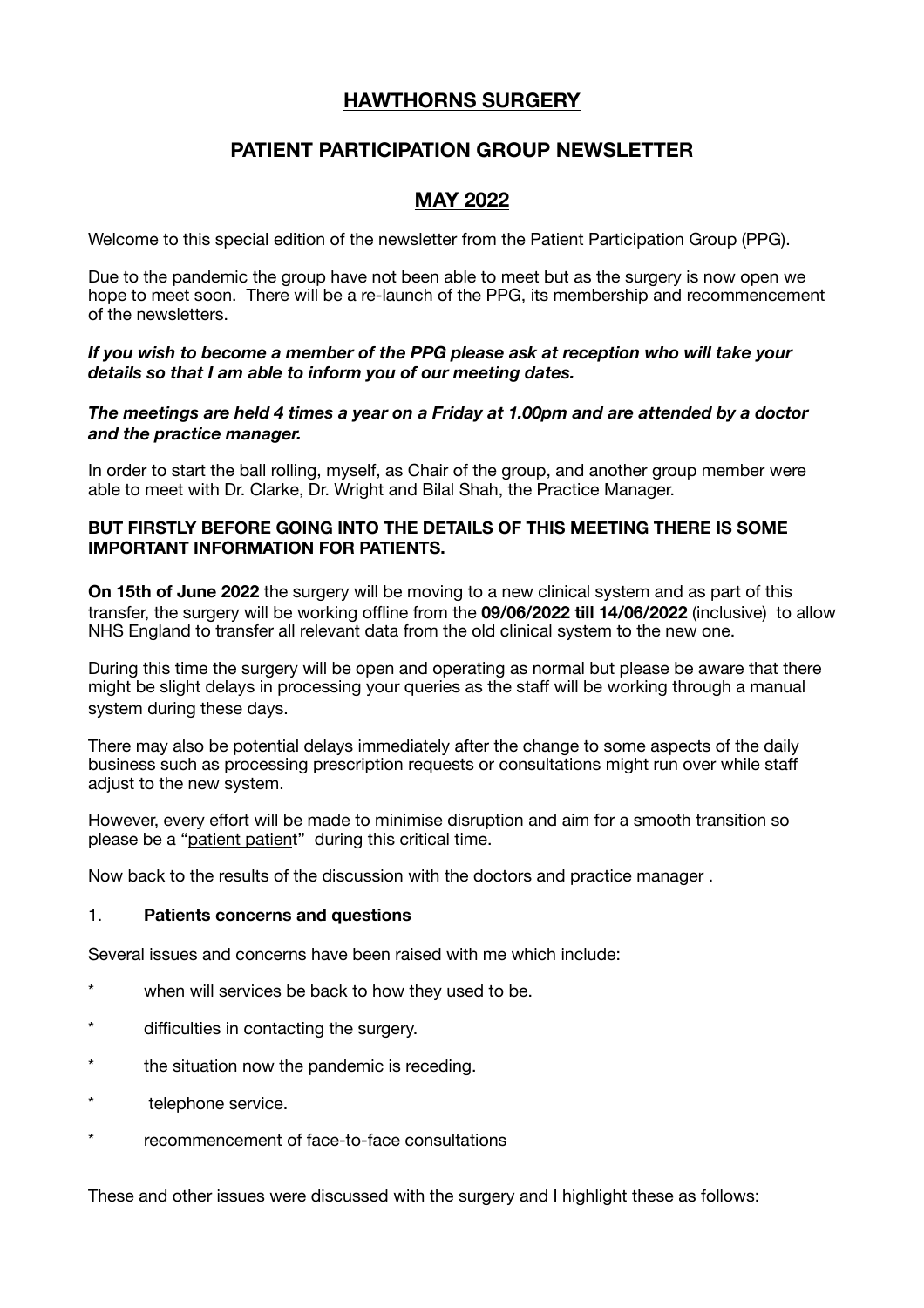# **HAWTHORNS SURGERY**

# **PATIENT PARTICIPATION GROUP NEWSLETTER**

# **MAY 2022**

Welcome to this special edition of the newsletter from the Patient Participation Group (PPG).

Due to the pandemic the group have not been able to meet but as the surgery is now open we hope to meet soon. There will be a re-launch of the PPG, its membership and recommencement of the newsletters.

#### *If you wish to become a member of the PPG please ask at reception who will take your details so that I am able to inform you of our meeting dates.*

*The meetings are held 4 times a year on a Friday at 1.00pm and are attended by a doctor and the practice manager.* 

In order to start the ball rolling, myself, as Chair of the group, and another group member were able to meet with Dr. Clarke, Dr. Wright and Bilal Shah, the Practice Manager.

### **BUT FIRSTLY BEFORE GOING INTO THE DETAILS OF THIS MEETING THERE IS SOME IMPORTANT INFORMATION FOR PATIENTS.**

**On 15th of June 2022** the surgery will be moving to a new clinical system and as part of this transfer, the surgery will be working offline from the **09/06/2022 till 14/06/2022** (inclusive) to allow NHS England to transfer all relevant data from the old clinical system to the new one.

During this time the surgery will be open and operating as normal but please be aware that there might be slight delays in processing your queries as the staff will be working through a manual system during these days.

There may also be potential delays immediately after the change to some aspects of the daily business such as processing prescription requests or consultations might run over while staff adjust to the new system.

However, every effort will be made to minimise disruption and aim for a smooth transition so please be a "patient patient" during this critical time.

Now back to the results of the discussion with the doctors and practice manager .

#### 1. **Patients concerns and questions**

Several issues and concerns have been raised with me which include:

- \* when will services be back to how they used to be.
- difficulties in contacting the surgery.
- the situation now the pandemic is receding.
- telephone service.
- recommencement of face-to-face consultations

These and other issues were discussed with the surgery and I highlight these as follows: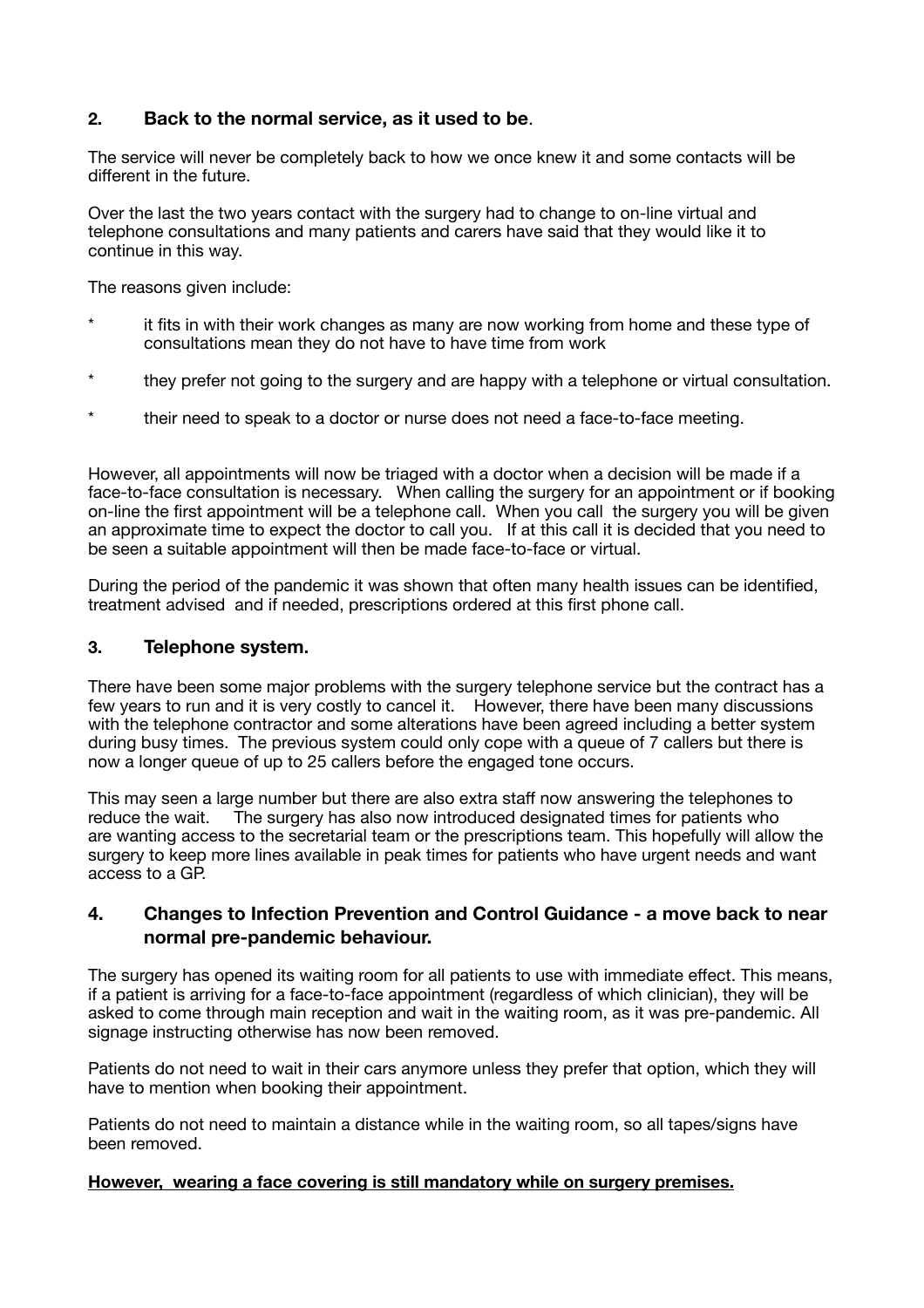## **2. Back to the normal service, as it used to be**.

The service will never be completely back to how we once knew it and some contacts will be different in the future.

Over the last the two years contact with the surgery had to change to on-line virtual and telephone consultations and many patients and carers have said that they would like it to continue in this way.

The reasons given include:

- it fits in with their work changes as many are now working from home and these type of consultations mean they do not have to have time from work
- \* they prefer not going to the surgery and are happy with a telephone or virtual consultation.
- their need to speak to a doctor or nurse does not need a face-to-face meeting.

However, all appointments will now be triaged with a doctor when a decision will be made if a face-to-face consultation is necessary. When calling the surgery for an appointment or if booking on-line the first appointment will be a telephone call. When you call the surgery you will be given an approximate time to expect the doctor to call you. If at this call it is decided that you need to be seen a suitable appointment will then be made face-to-face or virtual.

During the period of the pandemic it was shown that often many health issues can be identified, treatment advised and if needed, prescriptions ordered at this first phone call.

### **3. Telephone system.**

There have been some major problems with the surgery telephone service but the contract has a few years to run and it is very costly to cancel it. However, there have been many discussions with the telephone contractor and some alterations have been agreed including a better system during busy times. The previous system could only cope with a queue of 7 callers but there is now a longer queue of up to 25 callers before the engaged tone occurs.

This may seen a large number but there are also extra staff now answering the telephones to reduce the wait. The surgery has also now introduced designated times for patients who are wanting access to the secretarial team or the prescriptions team. This hopefully will allow the surgery to keep more lines available in peak times for patients who have urgent needs and want access to a GP.

## **4. Changes to Infection Prevention and Control Guidance - a move back to near normal pre-pandemic behaviour.**

The surgery has opened its waiting room for all patients to use with immediate effect. This means, if a patient is arriving for a face-to-face appointment (regardless of which clinician), they will be asked to come through main reception and wait in the waiting room, as it was pre-pandemic. All signage instructing otherwise has now been removed.

Patients do not need to wait in their cars anymore unless they prefer that option, which they will have to mention when booking their appointment.

Patients do not need to maintain a distance while in the waiting room, so all tapes/signs have been removed.

#### **However, wearing a face covering is still mandatory while on surgery premises.**